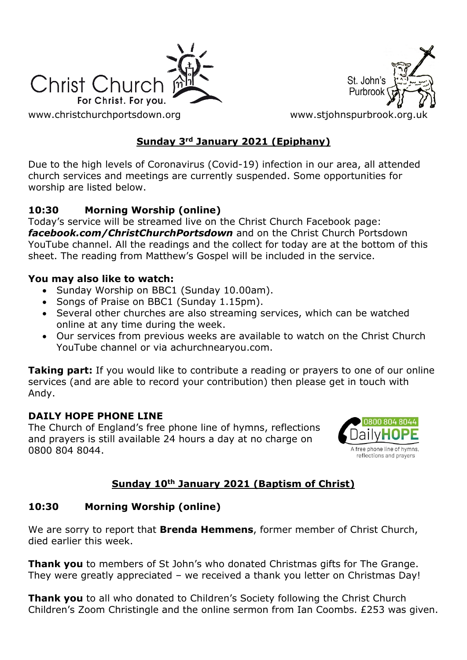



[www.christchurchportsdown.org](http://www.christchurchportsdown.org/) www.stjohnspurbrook.org

## **Sunday 3rd January 2021 (Epiphany)**

Due to the high levels of Coronavirus (Covid-19) infection in our area, all attended church services and meetings are currently suspended. Some opportunities for worship are listed below.

### **10:30 Morning Worship (online)**

Today's service will be streamed live on the Christ Church Facebook page: *[facebook.com/ChristChurchPortsdown](http://www.facebook.com/ChristChurchPortsdown%20at%2010.30)* and on the Christ Church Portsdown YouTube channel. All the readings and the collect for today are at the bottom of this sheet. The reading from Matthew's Gospel will be included in the service.

#### **You may also like to watch:**

- Sunday Worship on BBC1 (Sunday 10.00am).
- Songs of Praise on BBC1 (Sunday 1.15pm).
- Several other churches are also streaming services, which can be watched online at any time during the week.
- Our services from previous weeks are available to watch on the Christ Church YouTube channel or via achurchnearyou.com.

**Taking part:** If you would like to contribute a reading or prayers to one of our online services (and are able to record your contribution) then please get in touch with Andy.

### **DAILY HOPE PHONE LINE**

The Church of England's free phone line of hymns, reflections and prayers is still available 24 hours a day at no charge on 0800 804 8044.



## **Sunday 10th January 2021 (Baptism of Christ)**

### **10:30 Morning Worship (online)**

We are sorry to report that **Brenda Hemmens**, former member of Christ Church, died earlier this week.

**Thank you** to members of St John's who donated Christmas gifts for The Grange. They were greatly appreciated – we received a thank you letter on Christmas Day!

**Thank you** to all who donated to Children's Society following the Christ Church Children's Zoom Christingle and the online sermon from Ian Coombs. £253 was given.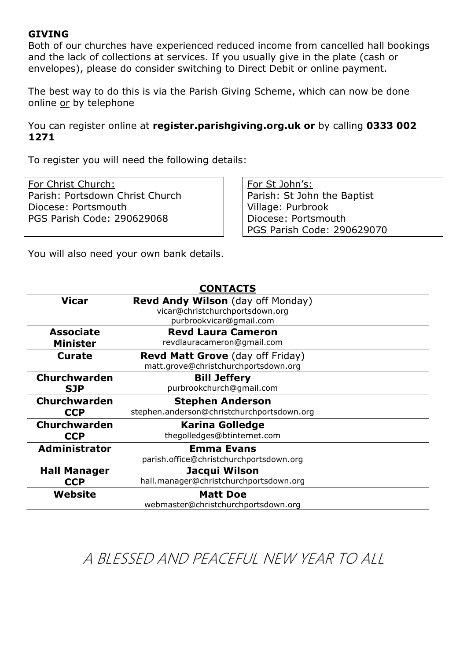#### **GIVING**

Both of our churches have experienced reduced income from cancelled hall bookings and the lack of collections at services. If you usually give in the plate (cash or envelopes), please do consider switching to Direct Debit or online payment.

The best way to do this is via the Parish Giving Scheme, which can now be done online or by telephone

You can register online at **register.parishgiving.org.uk or** by calling **0333 002 1271**

To register you will need the following details:

For Christ Church: Parish: Portsdown Christ Church Diocese: Portsmouth PGS Parish Code: 290629068

For St John's: Parish: St John the Baptist Village: Purbrook Diocese: Portsmouth PGS Parish Code: 290629070

You will also need your own bank details.

| <b>CONTACTS</b>      |                                                                                                 |
|----------------------|-------------------------------------------------------------------------------------------------|
| <b>Vicar</b>         | Revd Andy Wilson (day off Monday)<br>vicar@christchurchportsdown.org<br>purbrookvicar@gmail.com |
| <b>Associate</b>     | <b>Revd Laura Cameron</b>                                                                       |
| <b>Minister</b>      | revdlauracameron@gmail.com                                                                      |
| <b>Curate</b>        | <b>Revd Matt Grove</b> (day off Friday)<br>matt.grove@christchurchportsdown.org                 |
| <b>Churchwarden</b>  | <b>Bill Jeffery</b>                                                                             |
| <b>SJP</b>           | purbrookchurch@gmail.com                                                                        |
| Churchwarden         | <b>Stephen Anderson</b>                                                                         |
| <b>CCP</b>           | stephen.anderson@christchurchportsdown.org                                                      |
| Churchwarden         | <b>Karina Golledge</b>                                                                          |
| <b>CCP</b>           | thegolledges@btinternet.com                                                                     |
| <b>Administrator</b> | <b>Emma Evans</b><br>parish.office@christchurchportsdown.org                                    |
| <b>Hall Manager</b>  | Jacqui Wilson                                                                                   |
| <b>CCP</b>           | hall.manager@christchurchportsdown.org                                                          |
| Website              | <b>Matt Doe</b><br>webmaster@christchurchportsdown.org                                          |

A BLESSED AND PEACEFUL NEW YEAR TO ALL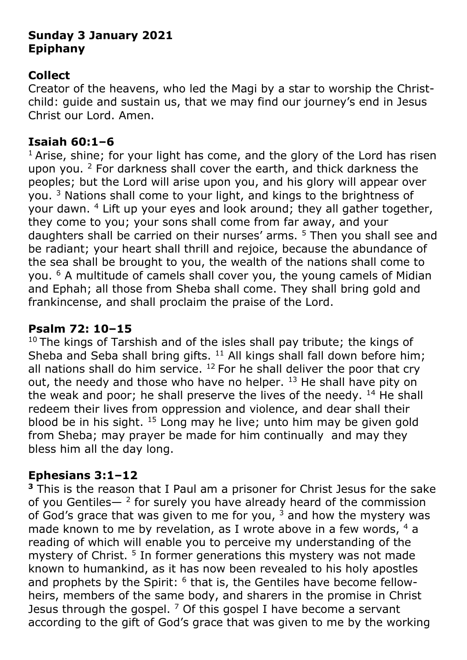# **Sunday 3 January 2021 Epiphany**

# **Collect**

Creator of the heavens, who led the Magi by a star to worship the Christchild: guide and sustain us, that we may find our journey's end in Jesus Christ our Lord. Amen.

## **Isaiah 60:1–6**

 $1$  Arise, shine; for your light has come, and the glory of the Lord has risen upon you. <sup>2</sup> For darkness shall cover the earth, and thick darkness the peoples; but the Lord will arise upon you, and his glory will appear over you. <sup>3</sup> Nations shall come to your light, and kings to the brightness of your dawn. <sup>4</sup> Lift up your eyes and look around; they all gather together, they come to you; your sons shall come from far away, and your daughters shall be carried on their nurses' arms. <sup>5</sup> Then you shall see and be radiant; your heart shall thrill and rejoice, because the abundance of the sea shall be brought to you, the wealth of the nations shall come to you. <sup>6</sup> A multitude of camels shall cover you, the young camels of Midian and Ephah; all those from Sheba shall come. They shall bring gold and frankincense, and shall proclaim the praise of the Lord.

## **Psalm 72: 10–15**

 $10$  The kings of Tarshish and of the isles shall pay tribute; the kings of Sheba and Seba shall bring gifts.  $11$  All kings shall fall down before him; all nations shall do him service.  $12$  For he shall deliver the poor that cry out, the needy and those who have no helper.  $13$  He shall have pity on the weak and poor; he shall preserve the lives of the needy.  $14$  He shall redeem their lives from oppression and violence, and dear shall their blood be in his sight. <sup>15</sup> Long may he live; unto him may be given gold from Sheba; may prayer be made for him continually and may they bless him all the day long.

## **Ephesians 3:1–12**

**<sup>3</sup>** This is the reason that I Paul am a prisoner for Christ Jesus for the sake of you Gentiles— $^2$  for surely you have already heard of the commission of God's grace that was given to me for you,  $3$  and how the mystery was made known to me by revelation, as I wrote above in a few words,  $4 \text{ a}$ reading of which will enable you to perceive my understanding of the mystery of Christ.<sup>5</sup> In former generations this mystery was not made known to humankind, as it has now been revealed to his holy apostles and prophets by the Spirit: <sup>6</sup> that is, the Gentiles have become fellowheirs, members of the same body, and sharers in the promise in Christ Jesus through the gospel.  $7$  Of this gospel I have become a servant according to the gift of God's grace that was given to me by the working